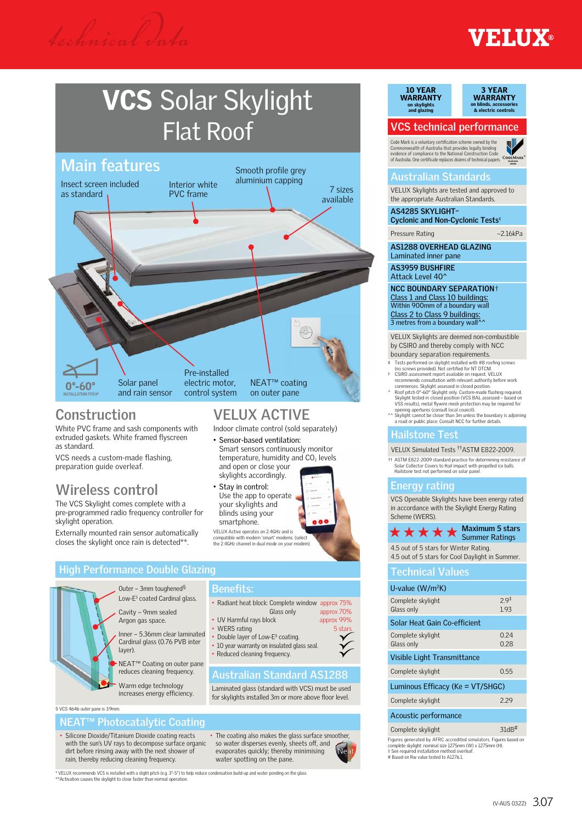## **EXAMPLE**

# VCS Solar Skylight Flat Roof



**VELUX ACTIVE** Indoor climate control (sold separately)

• Sensor-based ventilation:

and open or close your skylights accordingly. • Stay in control: Use the app to operate your skylights and blinds using your smartphone<sup>.</sup>

VELUX Active operates on 2.4GHz and is compatible with modern 'smart' modems. (select the 2.4GHz channel in dual mode on your modem).

Double layer of Low-E<sup>3</sup> coating. • 10 year warranty on insulated glass seal. • Reduced cleaning frequency.

**Benefits:**

Smart sensors continuously monitor temperature, humidity and  $CO<sub>2</sub>$  levels

### **Construction**

White PVC frame and sash components with extruded gaskets. White framed flyscreen as standard.

VCS needs a custom-made flashing, preparation guide overleaf.

## **Wireless control**

The VCS Skylight comes complete with a pre-programmed radio frequency controller for skylight operation.

Externally mounted rain sensor automatically closes the skylight once rain is detected\*\*.

#### **High Performance Double Glazing**



Low-E3 coated Cardinal glass.

Inner – 5.36mm clear laminated Cardinal glass (0.76 PVB inter layer).

NEAT™ Coating on outer pane reduces cleaning frequency.

Warm edge technology increases energy efficiency.

§ VCS 4646 outer pane is 3.9mm.

#### **NEAT™ Photocatalytic Coating**

• Silicone Dioxide/Titanium Dioxide coating reacts with the sun's UV rays to decompose surface organic dirt before rinsing away with the next shower of rain, thereby reducing cleaning frequency.

• The coating also makes the glass surface smoother, so water disperses evenly, sheets off, and evaporates quickly; thereby minimising water spotting on the pane.

**Australian Standard AS1288**

Laminated glass (standard with VCS) must be used for skylights installed 3m or more above floor level.

• Radiant heat block: Complete window approx 75%

• UV Harmful rays block approx 99% • WERS rating 5 stars 5 stars 5 stars 5 stars 5 stars 5 stars 5 stars 5 stars 5 stars 5 stars 5 stars 5 stars 5 stars 5 stars 5 stars 5 stars 5 stars 5 stars 5 stars 5 stars 5 stars 5 stars 5 stars 5 stars 5 stars 5 stars

Glass only approx 70%

10 YEAR WARRANTY on skylights and glazing



#### **VCS technical performance**

Code Mark is a voluntary certification scheme owned by the<br>Commonwealth of Australia that provides legally binding<br>evidence of compliance to the National Construction Code<br>of Australia. One certificate replaces dozens of t



#### **Australian Standards**

VELUX Skylights are tested and approved to the appropriate Australian Standards.

**AS4285 SKYLIGHT– Cyclonic and Non-Cyclonic Tests**

Pressure Rating –2.16kPa

**AS1288 OVERHEAD GLAZING** Laminated inner pane

**AS3959 BUSHFIRE** Attack Level 40<sup> $\prime$ </sup>

**NCC BOUNDARY SEPARATION**† Class 1 and Class 10 buildings: Within 900mm of a boundary wall Class 2 to Class 9 buildings:<br>3 metres from a boundary wall^^

VELUX Skylights are deemed non-combustible by CSIRO and thereby comply with NCC boundary separation requirements.

- Tests performed on skylight installed with #8 roofing screws
- (no screws provided). Not certified for NT DTCM.<br>
CSIRO assessment report available on request VELUX<br>
recommends consultation with relevant authority before work<br>
commences. Skylight assessed in closed position.<br>
A Roof pi
- opening apertures (consult local council).
- Skylight cannot be closer than 3m unless the boundary is adjoining ad or public place. Consult NCC for further details.

#### **Hailstone Test**

VELUX Simulated Tests ††ASTM E822-2009.

†† ASTM E822-2009 standard practice for determining resistance of Solar Collector Covers to Hail impact with propelled ice balls. Hailstone test not performed on solar panel.

#### **Energy rating**

VCS Openable Skylights have been energy rated in accordance with the Skylight Energy Rating Scheme (WERS).

#### **Maximum 5 stars**  $\star \star \star \star$  Maximum 5 stairs 4.5 out of 5 stars for Winter Rating.

4.5 out of 5 stars for Cool Daylight in Summer.

#### **Technical Values**

| U-value $(W/m^2K)$                                                |                         |  |  |  |  |
|-------------------------------------------------------------------|-------------------------|--|--|--|--|
| Complete skylight<br>Glass only                                   | 29 <sup>‡</sup><br>1.93 |  |  |  |  |
| Solar Heat Gain Co-efficient                                      |                         |  |  |  |  |
| Complete skylight<br>Glass only                                   | 0.24<br>0.28            |  |  |  |  |
| Visible Light Transmittance                                       |                         |  |  |  |  |
| Complete skylight                                                 | 0.55                    |  |  |  |  |
| Luminous Efficacy (Ke = VT/SHGC)                                  |                         |  |  |  |  |
| Complete skylight                                                 | 2.29                    |  |  |  |  |
| Acoustic performance                                              |                         |  |  |  |  |
| Complete skylight                                                 | $31dB$ <sup>#</sup>     |  |  |  |  |
| Figures generated by AFRC accredited simulators. Figures based on |                         |  |  |  |  |

Figures generated by AFRC accredited simulators. Figures based on complete skylight: nominal size 1275mm (W) x 1275mm (H). ‡ See required installation method overleaf. # Based on Rw value tested to A1276.1.

\* VELUX recommends VCS is installed with a slight pitch (e.g. 3°-5°) to help reduce condensation build-up and water ponding on the glass.<br>\*\*Activation causes the skylight to close faster than normal operation.